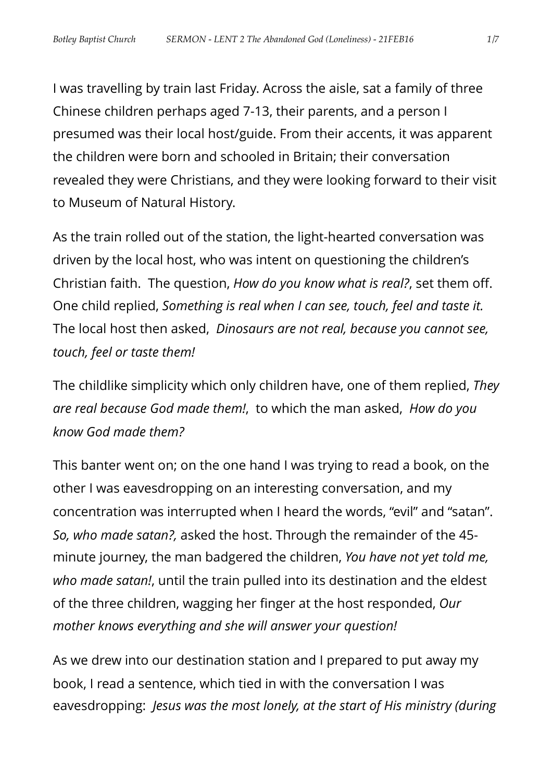I was travelling by train last Friday. Across the aisle, sat a family of three Chinese children perhaps aged 7-13, their parents, and a person I presumed was their local host/guide. From their accents, it was apparent the children were born and schooled in Britain; their conversation revealed they were Christians, and they were looking forward to their visit to Museum of Natural History.

As the train rolled out of the station, the light-hearted conversation was driven by the local host, who was intent on questioning the children's Christian faith. The question, *How do you know what is real?*, set them off. One child replied, *Something is real when I can see, touch, feel and taste it.* The local host then asked, *Dinosaurs are not real, because you cannot see, touch, feel or taste them!*

The childlike simplicity which only children have, one of them replied, *They are real because God made them!*, to which the man asked, *How do you know God made them?*

This banter went on; on the one hand I was trying to read a book, on the other I was eavesdropping on an interesting conversation, and my concentration was interrupted when I heard the words, "evil" and "satan". *So, who made satan?,* asked the host. Through the remainder of the 45 minute journey, the man badgered the children, *You have not yet told me, who made satan!*, until the train pulled into its destination and the eldest of the three children, wagging her finger at the host responded, *Our mother knows everything and she will answer your question!*

As we drew into our destination station and I prepared to put away my book, I read a sentence, which tied in with the conversation I was eavesdropping: *Jesus was the most lonely, at the start of His ministry (during*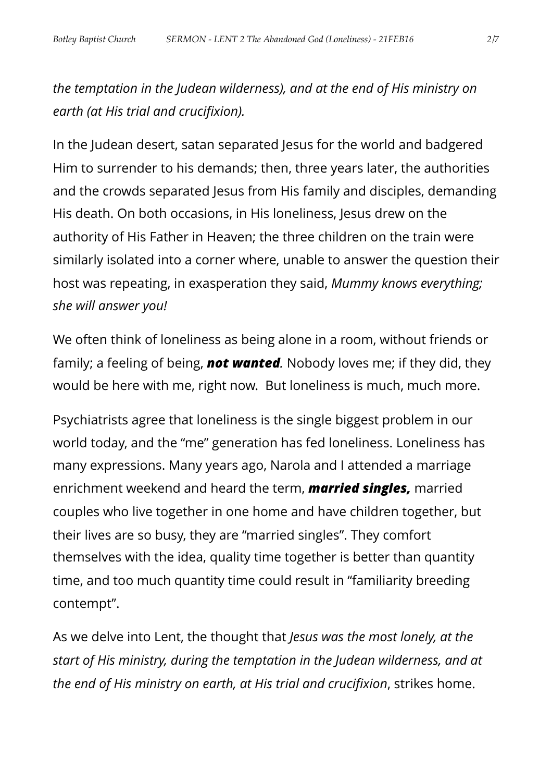*the temptation in the Judean wilderness), and at the end of His ministry on earth (at His trial and crucifixion).*

In the Judean desert, satan separated Jesus for the world and badgered Him to surrender to his demands; then, three years later, the authorities and the crowds separated Jesus from His family and disciples, demanding His death. On both occasions, in His loneliness, Jesus drew on the authority of His Father in Heaven; the three children on the train were similarly isolated into a corner where, unable to answer the question their host was repeating, in exasperation they said, *Mummy knows everything; she will answer you!*

We often think of loneliness as being alone in a room, without friends or family; a feeling of being, *not wanted.* Nobody loves me; if they did, they would be here with me, right now. But loneliness is much, much more.

Psychiatrists agree that loneliness is the single biggest problem in our world today, and the "me" generation has fed loneliness. Loneliness has many expressions. Many years ago, Narola and I attended a marriage enrichment weekend and heard the term, *married singles,* married couples who live together in one home and have children together, but their lives are so busy, they are "married singles". They comfort themselves with the idea, quality time together is better than quantity time, and too much quantity time could result in "familiarity breeding contempt".

As we delve into Lent, the thought that *Jesus was the most lonely, at the start of His ministry, during the temptation in the Judean wilderness, and at the end of His ministry on earth, at His trial and crucifixion*, strikes home.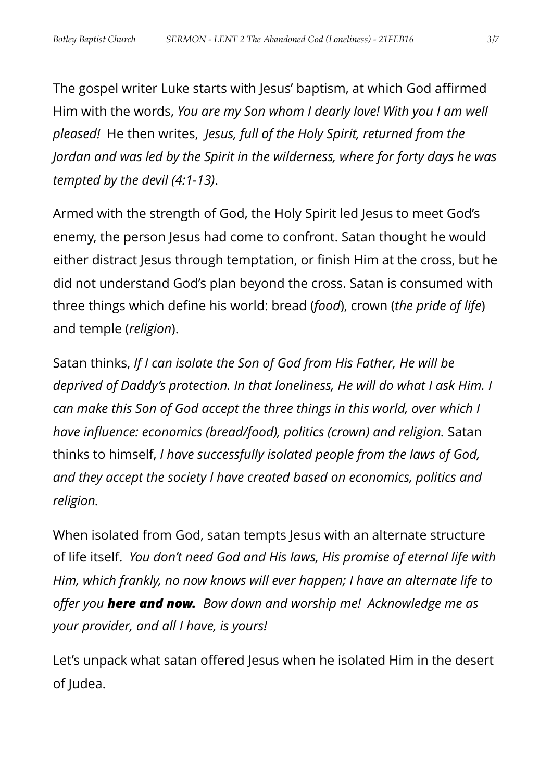The gospel writer Luke starts with Jesus' baptism, at which God affirmed Him with the words, *You are my Son whom I dearly love! With you I am well pleased!* He then writes, *Jesus, full of the Holy Spirit, returned from the Jordan and was led by the Spirit in the wilderness, where for forty days he was tempted by the devil (4:1-13)*.

Armed with the strength of God, the Holy Spirit led Jesus to meet God's enemy, the person Jesus had come to confront. Satan thought he would either distract Jesus through temptation, or finish Him at the cross, but he did not understand God's plan beyond the cross. Satan is consumed with three things which define his world: bread (*food*), crown (*the pride of life*) and temple (*religion*).

Satan thinks, *If I can isolate the Son of God from His Father, He will be deprived of Daddy's protection. In that loneliness, He will do what I ask Him. I can make this Son of God accept the three things in this world, over which I have influence: economics (bread/food), politics (crown) and religion.* Satan thinks to himself, *I have successfully isolated people from the laws of God, and they accept the society I have created based on economics, politics and religion.*

When isolated from God, satan tempts Jesus with an alternate structure of life itself. *You don't need God and His laws, His promise of eternal life with Him, which frankly, no now knows will ever happen; I have an alternate life to offer you here and now. Bow down and worship me! Acknowledge me as your provider, and all I have, is yours!* 

Let's unpack what satan offered Jesus when he isolated Him in the desert of Judea.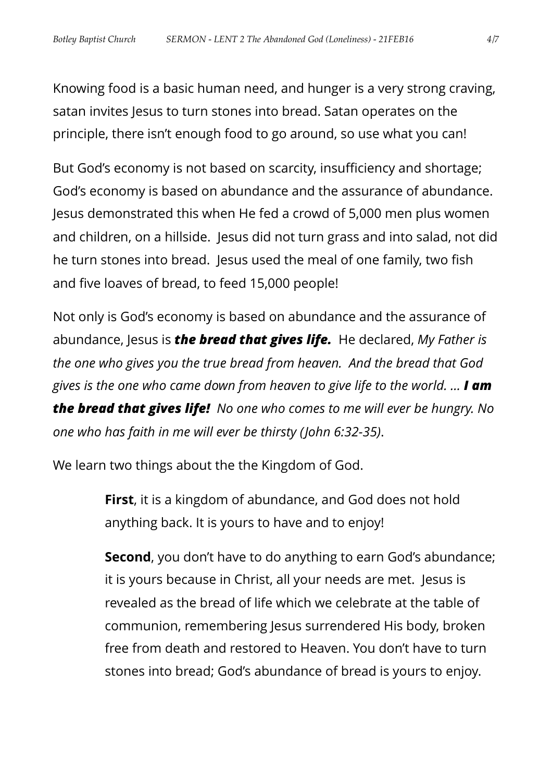Knowing food is a basic human need, and hunger is a very strong craving, satan invites Jesus to turn stones into bread. Satan operates on the principle, there isn't enough food to go around, so use what you can!

But God's economy is not based on scarcity, insufficiency and shortage; God's economy is based on abundance and the assurance of abundance. Jesus demonstrated this when He fed a crowd of 5,000 men plus women and children, on a hillside. Jesus did not turn grass and into salad, not did he turn stones into bread. Jesus used the meal of one family, two fish and five loaves of bread, to feed 15,000 people!

Not only is God's economy is based on abundance and the assurance of abundance, Jesus is *the bread that gives life.* He declared, *My Father is the one who gives you the true bread from heaven. And the bread that God gives is the one who came down from heaven to give life to the world. … I am the bread that gives life! No one who comes to me will ever be hungry. No one who has faith in me will ever be thirsty (John 6:32-35)*.

We learn two things about the the Kingdom of God.

**First**, it is a kingdom of abundance, and God does not hold anything back. It is yours to have and to enjoy!

**Second**, you don't have to do anything to earn God's abundance; it is yours because in Christ, all your needs are met. Jesus is revealed as the bread of life which we celebrate at the table of communion, remembering Jesus surrendered His body, broken free from death and restored to Heaven. You don't have to turn stones into bread; God's abundance of bread is yours to enjoy.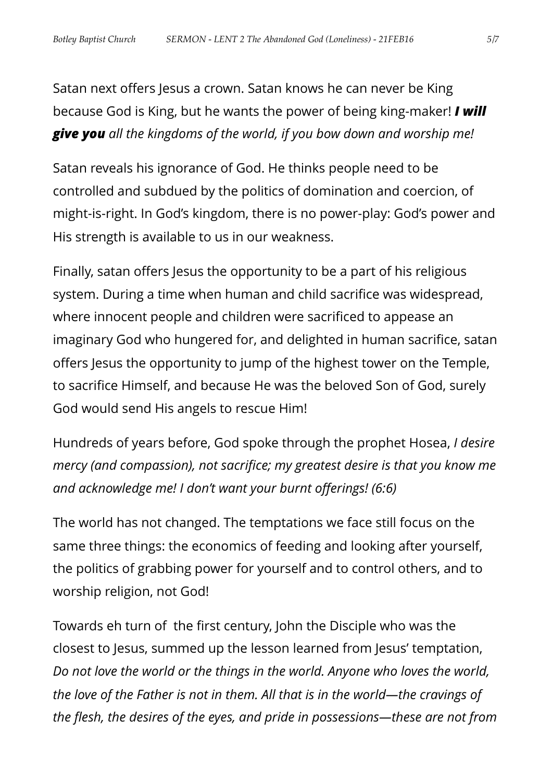Satan next offers Jesus a crown. Satan knows he can never be King because God is King, but he wants the power of being king-maker! *I will give you all the kingdoms of the world, if you bow down and worship me!*

Satan reveals his ignorance of God. He thinks people need to be controlled and subdued by the politics of domination and coercion, of might-is-right. In God's kingdom, there is no power-play: God's power and His strength is available to us in our weakness.

Finally, satan offers Jesus the opportunity to be a part of his religious system. During a time when human and child sacrifice was widespread, where innocent people and children were sacrificed to appease an imaginary God who hungered for, and delighted in human sacrifice, satan offers Jesus the opportunity to jump of the highest tower on the Temple, to sacrifice Himself, and because He was the beloved Son of God, surely God would send His angels to rescue Him!

Hundreds of years before, God spoke through the prophet Hosea, *I desire mercy (and compassion), not sacrifice; my greatest desire is that you know me and acknowledge me! I don't want your burnt offerings! (6:6)*

The world has not changed. The temptations we face still focus on the same three things: the economics of feeding and looking after yourself, the politics of grabbing power for yourself and to control others, and to worship religion, not God!

Towards eh turn of the first century, John the Disciple who was the closest to Jesus, summed up the lesson learned from Jesus' temptation, *Do not love the world or the things in the world. Anyone who loves the world, the love of the Father is not in them. All that is in the world—the cravings of the flesh, the desires of the eyes, and pride in possessions—these are not from*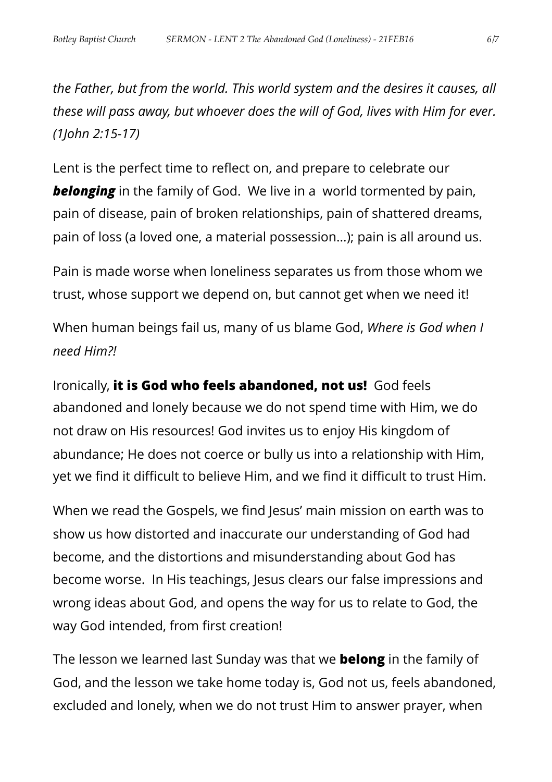*the Father, but from the world. This world system and the desires it causes, all these will pass away, but whoever does the will of God, lives with Him for ever. (1John 2:15-17)*

Lent is the perfect time to reflect on, and prepare to celebrate our **belonging** in the family of God. We live in a world tormented by pain, pain of disease, pain of broken relationships, pain of shattered dreams, pain of loss (a loved one, a material possession…); pain is all around us.

Pain is made worse when loneliness separates us from those whom we trust, whose support we depend on, but cannot get when we need it!

When human beings fail us, many of us blame God, *Where is God when I need Him?!*

Ironically, **it is God who feels abandoned, not us!** God feels abandoned and lonely because we do not spend time with Him, we do not draw on His resources! God invites us to enjoy His kingdom of abundance; He does not coerce or bully us into a relationship with Him, yet we find it difficult to believe Him, and we find it difficult to trust Him.

When we read the Gospels, we find Jesus' main mission on earth was to show us how distorted and inaccurate our understanding of God had become, and the distortions and misunderstanding about God has become worse. In His teachings, Jesus clears our false impressions and wrong ideas about God, and opens the way for us to relate to God, the way God intended, from first creation!

The lesson we learned last Sunday was that we **belong** in the family of God, and the lesson we take home today is, God not us, feels abandoned, excluded and lonely, when we do not trust Him to answer prayer, when